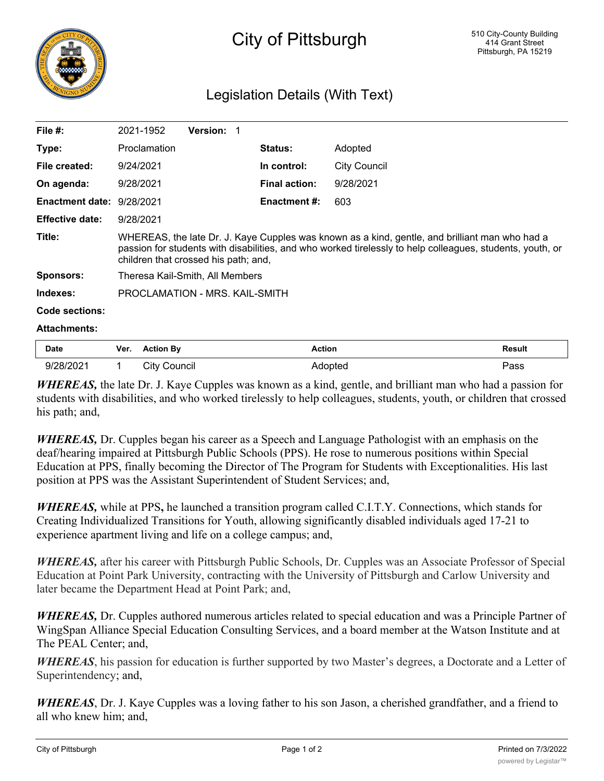## Legislation Details (With Text)

| File $#$ :                | 2021-1952                                                                                                                                                                                                                                           | <b>Version:</b> |                      |                     |  |  |
|---------------------------|-----------------------------------------------------------------------------------------------------------------------------------------------------------------------------------------------------------------------------------------------------|-----------------|----------------------|---------------------|--|--|
| Type:                     | Proclamation                                                                                                                                                                                                                                        |                 | <b>Status:</b>       | Adopted             |  |  |
| File created:             | 9/24/2021                                                                                                                                                                                                                                           |                 | In control:          | <b>City Council</b> |  |  |
| On agenda:                | 9/28/2021                                                                                                                                                                                                                                           |                 | <b>Final action:</b> | 9/28/2021           |  |  |
| Enactment date: 9/28/2021 |                                                                                                                                                                                                                                                     |                 | Enactment #:         | 603                 |  |  |
| <b>Effective date:</b>    | 9/28/2021                                                                                                                                                                                                                                           |                 |                      |                     |  |  |
| Title:                    | WHEREAS, the late Dr. J. Kaye Cupples was known as a kind, gentle, and brilliant man who had a<br>passion for students with disabilities, and who worked tirelessly to help colleagues, students, youth, or<br>children that crossed his path; and, |                 |                      |                     |  |  |
| <b>Sponsors:</b>          | Theresa Kail-Smith, All Members                                                                                                                                                                                                                     |                 |                      |                     |  |  |
| Indexes:                  | PROCLAMATION - MRS. KAIL-SMITH                                                                                                                                                                                                                      |                 |                      |                     |  |  |
| Code sections:            |                                                                                                                                                                                                                                                     |                 |                      |                     |  |  |

## **Attachments:**

| Date                | Ver. | <b>Action Bv</b> | Action | Result |
|---------------------|------|------------------|--------|--------|
| /202<br>. ואי<br>u/ |      | ouncil<br>utv    |        | ass'   |

*WHEREAS,* the late Dr. J. Kaye Cupples was known as a kind, gentle, and brilliant man who had a passion for students with disabilities, and who worked tirelessly to help colleagues, students, youth, or children that crossed his path; and,

*WHEREAS,* Dr. Cupples began his career as a Speech and Language Pathologist with an emphasis on the deaf/hearing impaired at Pittsburgh Public Schools (PPS). He rose to numerous positions within Special Education at PPS, finally becoming the Director of The Program for Students with Exceptionalities. His last position at PPS was the Assistant Superintendent of Student Services; and,

*WHEREAS,* while at PPS**,** he launched a transition program called C.I.T.Y. Connections, which stands for Creating Individualized Transitions for Youth, allowing significantly disabled individuals aged 17-21 to experience apartment living and life on a college campus; and,

*WHEREAS,* after his career with Pittsburgh Public Schools, Dr. Cupples was an Associate Professor of Special Education at Point Park University, contracting with the University of Pittsburgh and Carlow University and later became the Department Head at Point Park; and,

*WHEREAS,* Dr. Cupples authored numerous articles related to special education and was a Principle Partner of WingSpan Alliance Special Education Consulting Services, and a board member at the Watson Institute and at The PEAL Center; and,

*WHEREAS*, his passion for education is further supported by two Master's degrees, a Doctorate and a Letter of Superintendency; and,

*WHEREAS*, Dr. J. Kaye Cupples was a loving father to his son Jason, a cherished grandfather, and a friend to all who knew him; and,